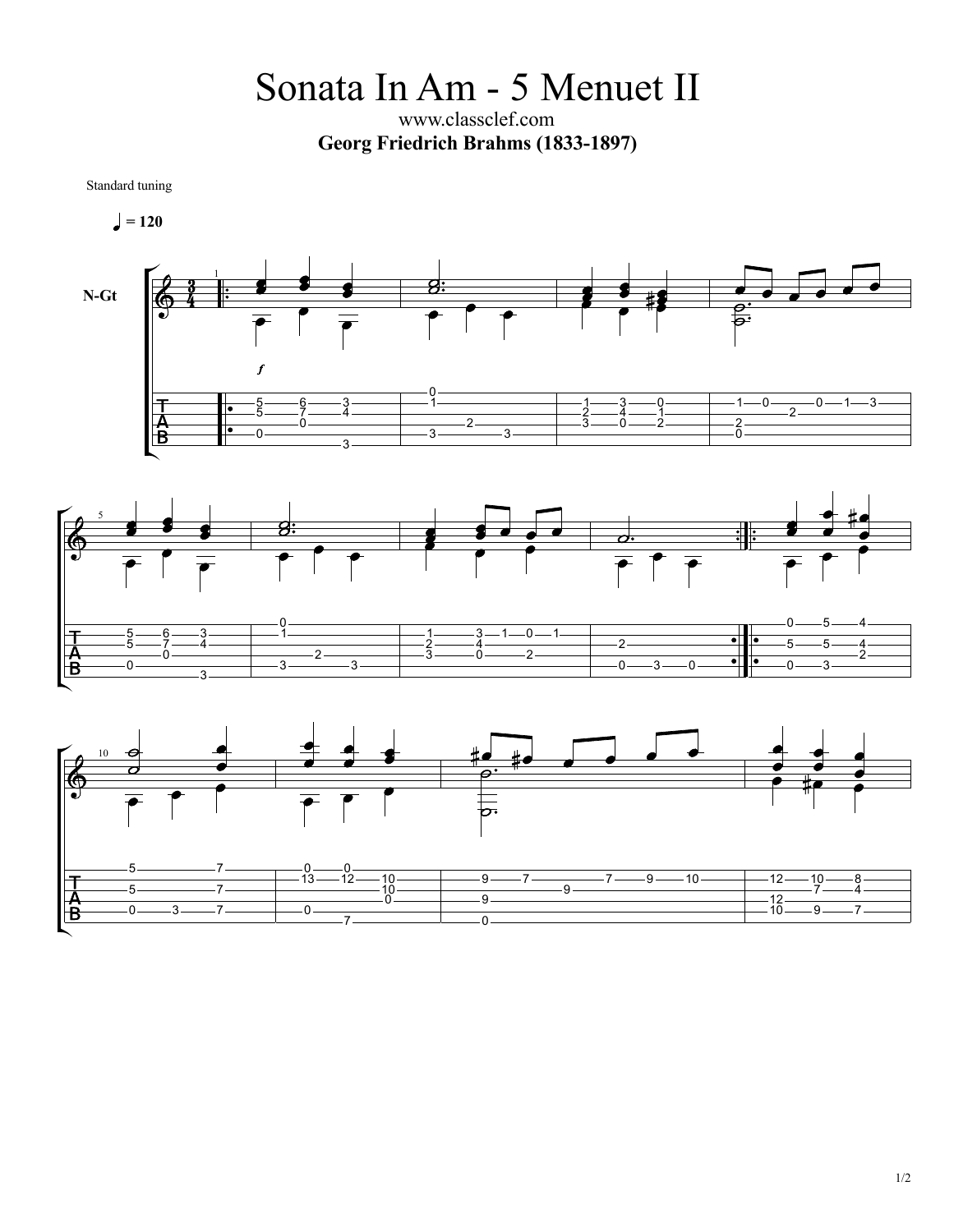Sonata In Am - 5 Menuet II

www.classclef.com **Georg Friedrich Brahms (1833-1897)**

Standard tuning

 $= 120$